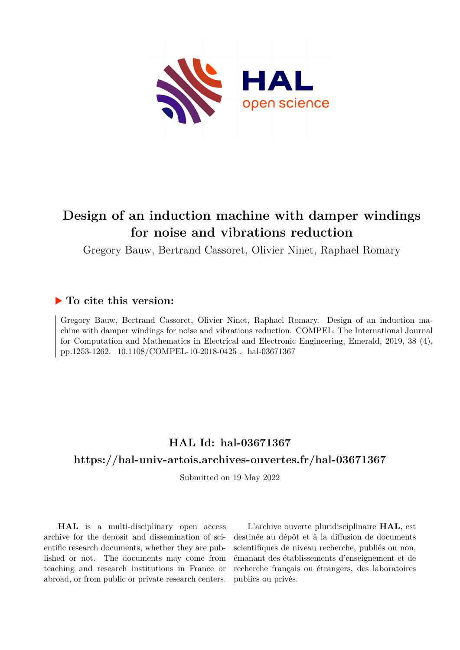

# **Design of an induction machine with damper windings for noise and vibrations reduction**

Gregory Bauw, Bertrand Cassoret, Olivier Ninet, Raphael Romary

# **To cite this version:**

Gregory Bauw, Bertrand Cassoret, Olivier Ninet, Raphael Romary. Design of an induction machine with damper windings for noise and vibrations reduction. COMPEL: The International Journal for Computation and Mathematics in Electrical and Electronic Engineering, Emerald, 2019, 38 (4), pp.1253-1262. 10.1108/COMPEL-10-2018-0425. hal-03671367

# **HAL Id: hal-03671367**

# **<https://hal-univ-artois.archives-ouvertes.fr/hal-03671367>**

Submitted on 19 May 2022

**HAL** is a multi-disciplinary open access archive for the deposit and dissemination of scientific research documents, whether they are published or not. The documents may come from teaching and research institutions in France or abroad, or from public or private research centers.

L'archive ouverte pluridisciplinaire **HAL**, est destinée au dépôt et à la diffusion de documents scientifiques de niveau recherche, publiés ou non, émanant des établissements d'enseignement et de recherche français ou étrangers, des laboratoires publics ou privés.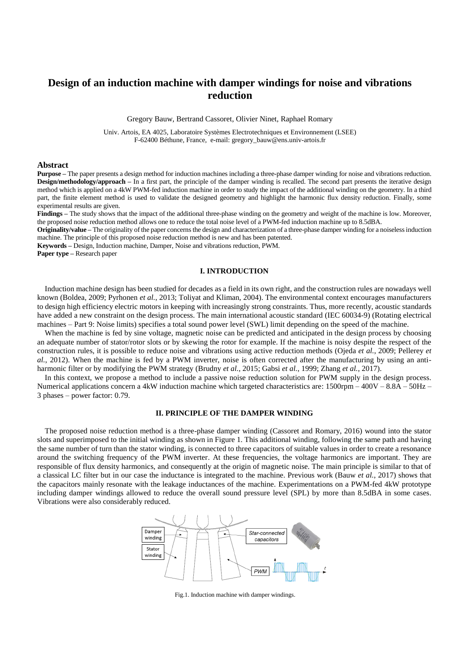# **Design of an induction machine with damper windings for noise and vibrations reduction**

Gregory Bauw, Bertrand Cassoret, Olivier Ninet, Raphael Romary

Univ. Artois, EA 4025, Laboratoire Systèmes Electrotechniques et Environnement (LSEE) F-62400 Béthune, France, e-mail: gregory\_bauw@ens.univ-artois.fr

# **Abstract**

**Purpose –** The paper presents a design method for induction machines including a three-phase damper winding for noise and vibrations reduction. **Design/methodology/approach –** In a first part, the principle of the damper winding is recalled. The second part presents the iterative design method which is applied on a 4kW PWM-fed induction machine in order to study the impact of the additional winding on the geometry. In a third part, the finite element method is used to validate the designed geometry and highlight the harmonic flux density reduction. Finally, some experimental results are given.

**Findings –** The study shows that the impact of the additional three-phase winding on the geometry and weight of the machine is low. Moreover, the proposed noise reduction method allows one to reduce the total noise level of a PWM-fed induction machine up to 8.5dBA.

**Originality/value –** The originality of the paper concerns the design and characterization of a three-phase damper winding for a noiseless induction machine. The principle of this proposed noise reduction method is new and has been patented.

**Keywords –** Design, Induction machine, Damper, Noise and vibrations reduction, PWM. **Paper type –** Research paper

# **I. INTRODUCTION**

Induction machine design has been studied for decades as a field in its own right, and the construction rules are nowadays well known (Boldea, 2009; Pyrhonen *et al.*, 2013; Toliyat and Kliman, 2004). The environmental context encourages manufacturers to design high efficiency electric motors in keeping with increasingly strong constraints. Thus, more recently, acoustic standards have added a new constraint on the design process. The main international acoustic standard (IEC 60034-9) (Rotating electrical machines – Part 9: Noise limits) specifies a total sound power level (SWL) limit depending on the speed of the machine.

When the machine is fed by sine voltage, magnetic noise can be predicted and anticipated in the design process by choosing an adequate number of stator/rotor slots or by skewing the rotor for example. If the machine is noisy despite the respect of the construction rules, it is possible to reduce noise and vibrations using active reduction methods (Ojeda *et al.*, 2009; Pellerey *et al.*, 2012). When the machine is fed by a PWM inverter, noise is often corrected after the manufacturing by using an antiharmonic filter or by modifying the PWM strategy (Brudny *et al.*, 2015; Gabsi *et al.*, 1999; Zhang *et al.*, 2017).

In this context, we propose a method to include a passive noise reduction solution for PWM supply in the design process. Numerical applications concern a 4kW induction machine which targeted characteristics are: 1500rpm – 400V – 8.8A – 50Hz – 3 phases – power factor: 0.79.

# **II. PRINCIPLE OF THE DAMPER WINDING**

The proposed noise reduction method is a three-phase damper winding (Cassoret and Romary, 2016) wound into the stator slots and superimposed to the initial winding as shown in Figure 1. This additional winding, following the same path and having the same number of turn than the stator winding, is connected to three capacitors of suitable values in order to create a resonance around the switching frequency of the PWM inverter. At these frequencies, the voltage harmonics are important. They are responsible of flux density harmonics, and consequently at the origin of magnetic noise. The main principle is similar to that of a classical LC filter but in our case the inductance is integrated to the machine. Previous work (Bauw *et al.*, 2017) shows that the capacitors mainly resonate with the leakage inductances of the machine. Experimentations on a PWM-fed 4kW prototype including damper windings allowed to reduce the overall sound pressure level (SPL) by more than 8.5dBA in some cases. Vibrations were also considerably reduced.



Fig.1. Induction machine with damper windings.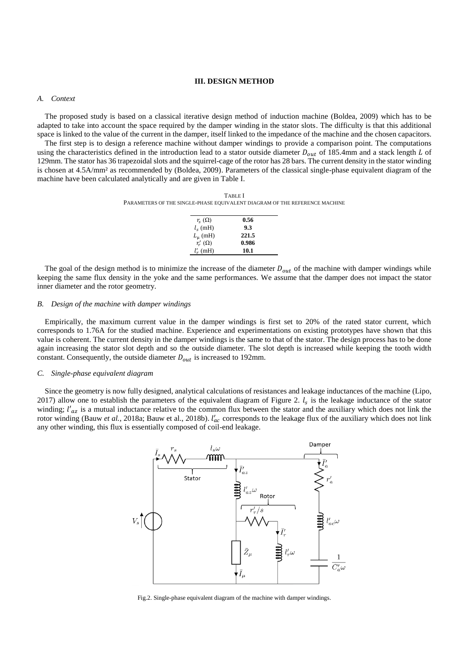# **III. DESIGN METHOD**

#### *A. Context*

The proposed study is based on a classical iterative design method of induction machine (Boldea, 2009) which has to be adapted to take into account the space required by the damper winding in the stator slots. The difficulty is that this additional space is linked to the value of the current in the damper, itself linked to the impedance of the machine and the chosen capacitors.

The first step is to design a reference machine without damper windings to provide a comparison point. The computations using the characteristics defined in the introduction lead to a stator outside diameter  $D_{out}$  of 185.4mm and a stack length L of 129mm. The stator has 36 trapezoidal slots and the squirrel-cage of the rotor has 28 bars. The current density in the stator winding is chosen at 4.5A/mm² as recommended by (Boldea, 2009). Parameters of the classical single-phase equivalent diagram of the machine have been calculated analytically and are given in Table I.

TABLE I PARAMETERS OF THE SINGLE-PHASE EQUIVALENT DIAGRAM OF THE REFERENCE MACHINE

| $r_{s}(\Omega)$     | 0.56  |
|---------------------|-------|
| $l_{s}$ (mH)        | 9.3   |
| $L_{\rm u}$ (mH)    | 221.5 |
| $r_r\prime(\Omega)$ | 0.986 |
| $l'_r$ (mH)         | 10.1  |

The goal of the design method is to minimize the increase of the diameter  $D_{out}$  of the machine with damper windings while keeping the same flux density in the yoke and the same performances. We assume that the damper does not impact the stator inner diameter and the rotor geometry.

# *B. Design of the machine with damper windings*

Empirically, the maximum current value in the damper windings is first set to 20% of the rated stator current, which corresponds to 1.76A for the studied machine. Experience and experimentations on existing prototypes have shown that this value is coherent. The current density in the damper windings is the same to that of the stator. The design process has to be done again increasing the stator slot depth and so the outside diameter. The slot depth is increased while keeping the tooth width constant. Consequently, the outside diameter  $D_{out}$  is increased to 192mm.

#### *C. Single-phase equivalent diagram*

Since the geometry is now fully designed, analytical calculations of resistances and leakage inductances of the machine (Lipo, 2017) allow one to establish the parameters of the equivalent diagram of Figure 2.  $l_s$  is the leakage inductance of the stator winding;  $l'_{az}$  is a mutual inductance relative to the common flux between the stator and the auxiliary which does not link the rotor winding (Bauw *et al.*, 2018a; Bauw et al., 2018b).  $l'_{ac}$  corresponds to the leakage flux of the auxiliary which does not link any other winding, this flux is essentially composed of coil-end leakage.



Fig.2. Single-phase equivalent diagram of the machine with damper windings.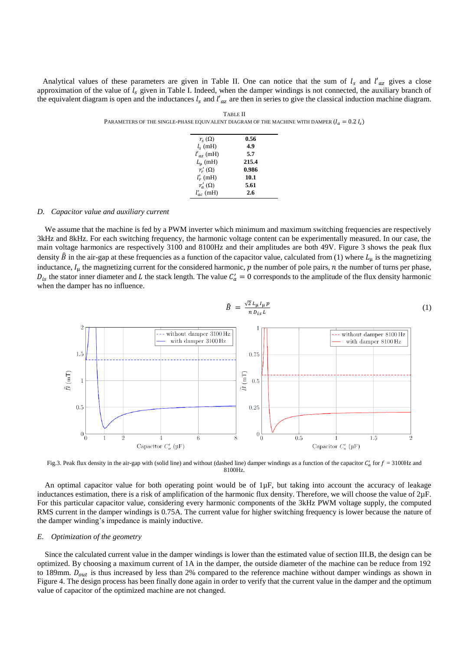Analytical values of these parameters are given in Table II. One can notice that the sum of  $l_s$  and  $l'_{az}$  gives a close approximation of the value of  $l_s$  given in Table I. Indeed, when the damper windings is not connected, the auxiliary branch of the equivalent diagram is open and the inductances  $l_s$  and  $l'_{az}$  are then in series to give the classical induction machine diagram.

| $r_{s}(\Omega)$        | 0.56  |
|------------------------|-------|
| $l_{\rm s}$ (mH)       | 4.9   |
| $l'_{\alpha z}$ (mH)   | 5.7   |
| $L_{\rm u}$ (mH)       | 215.4 |
| $r'_r(\Omega)$         | 0.986 |
| $l'_r$ (mH)            | 10.1  |
| $r_a^{\prime}(\Omega)$ | 5.61  |
| $l'_{ac}$ (mH)         | 2.6   |

| TABLE II                                                                                       |  |
|------------------------------------------------------------------------------------------------|--|
| PARAMETERS OF THE SINGLE-PHASE EQUIVALENT DIAGRAM OF THE MACHINE WITH DAMPER $(I_a = 0.2 I_s)$ |  |

#### *D. Capacitor value and auxiliary current*

We assume that the machine is fed by a PWM inverter which minimum and maximum switching frequencies are respectively 3kHz and 8kHz. For each switching frequency, the harmonic voltage content can be experimentally measured. In our case, the main voltage harmonics are respectively 3100 and 8100Hz and their amplitudes are both 49V. Figure 3 shows the peak flux density  $\hat{B}$  in the air-gap at these frequencies as a function of the capacitor value, calculated from (1) where  $L_{\mu}$  is the magnetizing inductance,  $I_{\mu}$  the magnetizing current for the considered harmonic,  $p$  the number of pole pairs,  $n$  the number of turns per phase,  $D_{is}$  the stator inner diameter and L the stack length. The value  $C'_a = 0$  corresponds to the amplitude of the flux density harmonic when the damper has no influence.



Fig.3. Peak flux density in the air-gap with (solid line) and without (dashed line) damper windings as a function of the capacitor  $C'_a$  for  $f = 3100$ Hz and 8100Hz.

An optimal capacitor value for both operating point would be of  $1\mu$ F, but taking into account the accuracy of leakage inductances estimation, there is a risk of amplification of the harmonic flux density. Therefore, we will choose the value of 2µF. For this particular capacitor value, considering every harmonic components of the 3kHz PWM voltage supply, the computed RMS current in the damper windings is 0.75A. The current value for higher switching frequency is lower because the nature of the damper winding's impedance is mainly inductive.

#### *E. Optimization of the geometry*

Since the calculated current value in the damper windings is lower than the estimated value of section III.B, the design can be optimized. By choosing a maximum current of 1A in the damper, the outside diameter of the machine can be reduce from 192 to 189mm.  $D_{out}$  is thus increased by less than 2% compared to the reference machine without damper windings as shown in Figure 4. The design process has been finally done again in order to verify that the current value in the damper and the optimum value of capacitor of the optimized machine are not changed.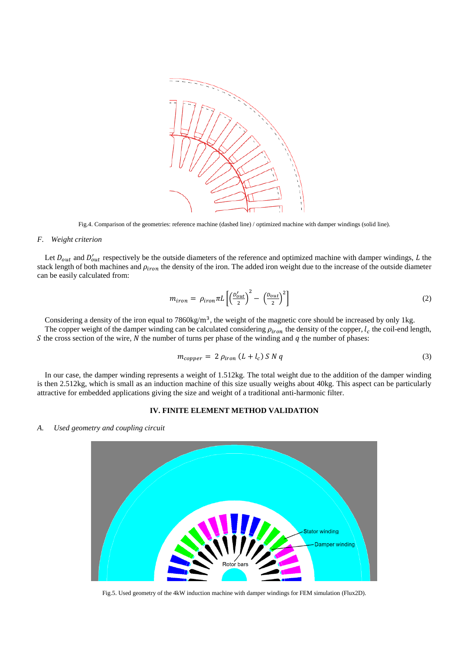

Fig.4. Comparison of the geometries: reference machine (dashed line) / optimized machine with damper windings (solid line).

# *F. Weight criterion*

Let  $D_{out}$  and  $D'_{out}$  respectively be the outside diameters of the reference and optimized machine with damper windings, L the stack length of both machines and  $\rho_{iron}$  the density of the iron. The added iron weight due to the increase of the outside diameter can be easily calculated from:

$$
m_{iron} = \rho_{iron} \pi L \left[ \left( \frac{D_{out}'}{2} \right)^2 - \left( \frac{D_{out}}{2} \right)^2 \right] \tag{2}
$$

Considering a density of the iron equal to  $7860 \text{kg/m}^3$ , the weight of the magnetic core should be increased by only 1kg. The copper weight of the damper winding can be calculated considering  $\rho_{iron}$  the density of the copper,  $l_c$  the coil-end length, S the cross section of the wire,  $N$  the number of turns per phase of the winding and  $q$  the number of phases:

$$
m_{copper} = 2 \rho_{iron} (L + l_c) \, S \, N \, q \tag{3}
$$

In our case, the damper winding represents a weight of 1.512kg. The total weight due to the addition of the damper winding is then 2.512kg, which is small as an induction machine of this size usually weighs about 40kg. This aspect can be particularly attractive for embedded applications giving the size and weight of a traditional anti-harmonic filter.

# **IV. FINITE ELEMENT METHOD VALIDATION**

### *A. Used geometry and coupling circuit*



Fig.5. Used geometry of the 4kW induction machine with damper windings for FEM simulation (Flux2D).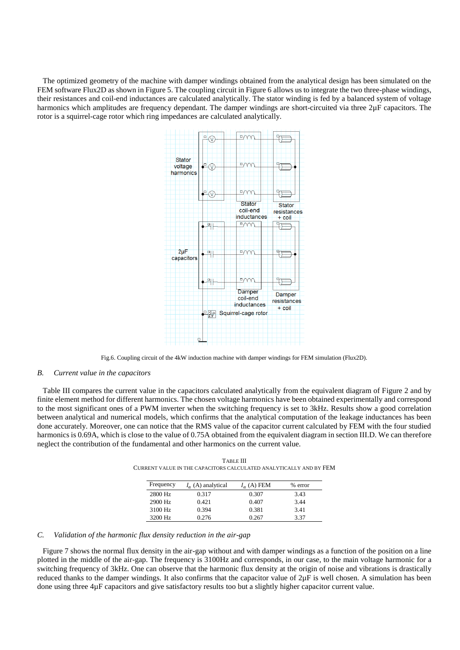The optimized geometry of the machine with damper windings obtained from the analytical design has been simulated on the FEM software Flux2D as shown in Figure 5. The coupling circuit in Figure 6 allows us to integrate the two three-phase windings, their resistances and coil-end inductances are calculated analytically. The stator winding is fed by a balanced system of voltage harmonics which amplitudes are frequency dependant. The damper windings are short-circuited via three 2µF capacitors. The rotor is a squirrel-cage rotor which ring impedances are calculated analytically.



Fig.6. Coupling circuit of the 4kW induction machine with damper windings for FEM simulation (Flux2D).

### *B. Current value in the capacitors*

Table III compares the current value in the capacitors calculated analytically from the equivalent diagram of Figure 2 and by finite element method for different harmonics. The chosen voltage harmonics have been obtained experimentally and correspond to the most significant ones of a PWM inverter when the switching frequency is set to 3kHz. Results show a good correlation between analytical and numerical models, which confirms that the analytical computation of the leakage inductances has been done accurately. Moreover, one can notice that the RMS value of the capacitor current calculated by FEM with the four studied harmonics is 0.69A, which is close to the value of 0.75A obtained from the equivalent diagram in section III.D. We can therefore neglect the contribution of the fundamental and other harmonics on the current value.

TABLE III CURRENT VALUE IN THE CAPACITORS CALCULATED ANALYTICALLY AND BY FEM

| Frequency | $I_{\alpha}$ (A) analytical | $I_a(A)$ FEM | % error |
|-----------|-----------------------------|--------------|---------|
| 2800 Hz   | 0.317                       | 0.307        | 3.43    |
| 2900 Hz   | 0.421                       | 0.407        | 3.44    |
| 3100 Hz   | 0.394                       | 0.381        | 3.41    |
| 3200 Hz   | 0.276                       | 0.267        | 3.37    |

# *C. Validation of the harmonic flux density reduction in the air-gap*

Figure 7 shows the normal flux density in the air-gap without and with damper windings as a function of the position on a line plotted in the middle of the air-gap. The frequency is 3100Hz and corresponds, in our case, to the main voltage harmonic for a switching frequency of 3kHz. One can observe that the harmonic flux density at the origin of noise and vibrations is drastically reduced thanks to the damper windings. It also confirms that the capacitor value of 2µF is well chosen. A simulation has been done using three  $4\mu$ F capacitors and give satisfactory results too but a slightly higher capacitor current value.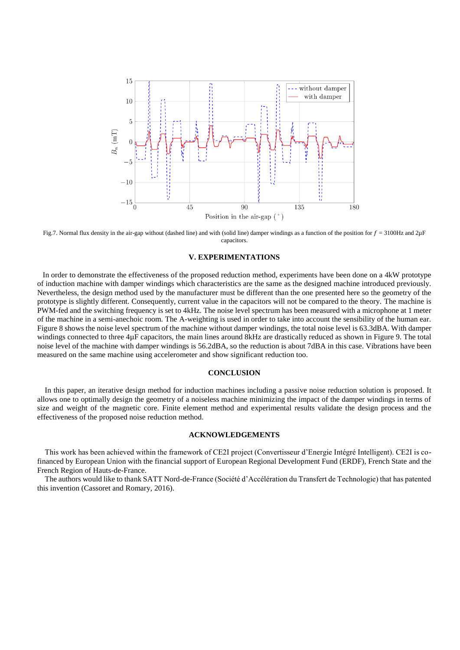

Fig.7. Normal flux density in the air-gap without (dashed line) and with (solid line) damper windings as a function of the position for  $f = 3100$ Hz and  $2\mu$ F capacitors.

# **V. EXPERIMENTATIONS**

In order to demonstrate the effectiveness of the proposed reduction method, experiments have been done on a 4kW prototype of induction machine with damper windings which characteristics are the same as the designed machine introduced previously. Nevertheless, the design method used by the manufacturer must be different than the one presented here so the geometry of the prototype is slightly different. Consequently, current value in the capacitors will not be compared to the theory. The machine is PWM-fed and the switching frequency is set to 4kHz. The noise level spectrum has been measured with a microphone at 1 meter of the machine in a semi-anechoic room. The A-weighting is used in order to take into account the sensibility of the human ear. Figure 8 shows the noise level spectrum of the machine without damper windings, the total noise level is 63.3dBA. With damper windings connected to three  $4\mu$ F capacitors, the main lines around 8kHz are drastically reduced as shown in Figure 9. The total noise level of the machine with damper windings is 56.2dBA, so the reduction is about 7dBA in this case. Vibrations have been measured on the same machine using accelerometer and show significant reduction too.

#### **CONCLUSION**

In this paper, an iterative design method for induction machines including a passive noise reduction solution is proposed. It allows one to optimally design the geometry of a noiseless machine minimizing the impact of the damper windings in terms of size and weight of the magnetic core. Finite element method and experimental results validate the design process and the effectiveness of the proposed noise reduction method.

#### **ACKNOWLEDGEMENTS**

This work has been achieved within the framework of CE2I project (Convertisseur d'Energie Intégré Intelligent). CE2I is cofinanced by European Union with the financial support of European Regional Development Fund (ERDF), French State and the French Region of Hauts-de-France.

The authors would like to thank SATT Nord-de-France (Société d'Accélération du Transfert de Technologie) that has patented this invention (Cassoret and Romary, 2016).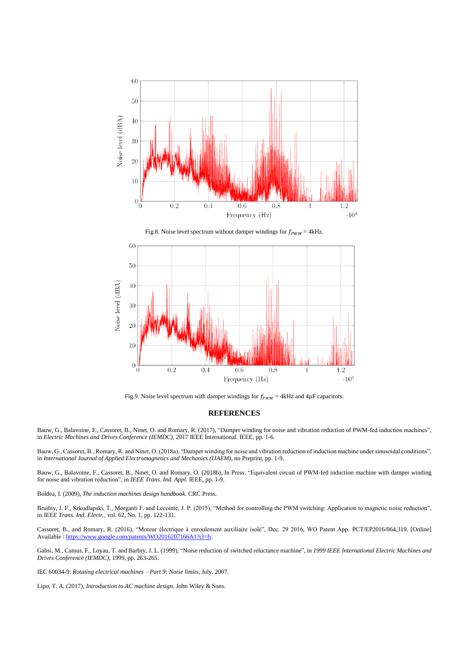





Fig.9. Noise level spectrum with damper windings for  $f_{PWM} = 4kHz$  and  $4\mu$ F capacitors.

#### **REFERENCES**

Bauw, G., Balavoine, F., Cassoret, B., Ninet, O. and Romary, R. (2017), "Damper winding for noise and vibration reduction of PWM-fed induction machines", in *Electric Machines and Drives Conference (IEMDC)*, 2017 IEEE International. IEEE, pp. 1-6.

Bauw, G., Cassoret, B., Romary, R. and Ninet, O. (2018a), "Damper winding for noise and vibration reduction of induction machine under sinusoidal conditions", in *International Journal of Applied Electromagnetics and Mechanics (IJAEM),* no Preprint, pp. 1-9.

Bauw, G., Balavoine, F., Cassoret, B., Ninet, O. and Romary, O. (2018b), In Press: "Equivalent circuit of PWM-fed induction machine with damper winding for noise and vibration reduction", in *IEEE Trans. Ind. Appl*. IEEE, pp. 1-9.

Boldea, I. (2009), *The induction machines design handbook*. CRC Press.

Brudny, J. F., Szkudlapski, T., Morganti F. and Lecointe, J. P. (2015), "Method for controlling the PWM switching: Application to magnetic noise reduction", in *IEEE Trans. Ind. Electr.,* vol. 62, No. 1, pp. 122-131.

Cassoret, B., and Romary, R. (2016), "Moteur électrique à enroulement auxiliaire isolé", Dec. 29 2016, WO Patent App. PCT/EP2016/064,319. [Online] Available [: https://www.google.com/patents/WO2016207166A1?cl=fr.](https://www.google.com/patents/WO2016207166A1?cl=fr)

Gabsi, M., Camus, F., Loyau, T. and Barbry, J. L. (1999), "Noise reduction of switched reluctance machine", in *1999 IEEE International Electric Machines and Drives Conference (IEMDC),* 1999, pp. 263-265.

IEC 60034-9: *Rotating electrical machines – Part 9: Noise limits,* July, 2007.

Lipo, T. A. (2017), *Introduction to AC machine design*. John Wiley & Sons.